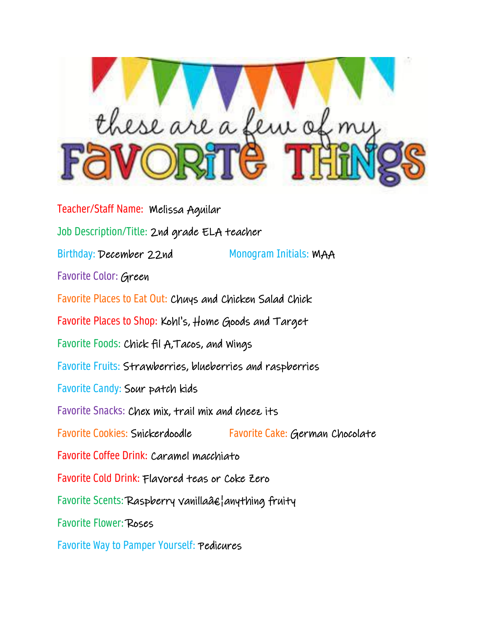

Teacher/Staff Name: Melissa Aguilar Job Description/Title: 2nd grade ELA teacher Birthday: December 22nd Monogram Initials: MAA Favorite Color: Green Favorite Places to Eat Out: Chuys and Chicken Salad Chick Favorite Places to Shop: Kohl's, Home Goods and Target Favorite Foods: Chick fil A,Tacos, and Wings Favorite Fruits: Strawberries, blueberries and raspberries Favorite Candy: Sour patch kids Favorite Snacks: Chex mix, trail mix and cheez its Favorite Cookies: Snickerdoodle Favorite Cake: German Chocolate Favorite Coffee Drink: Caramel macchiato Favorite Cold Drink: Flavored teas or Coke Zero Favorite Scents: Raspberry vanilla…anything fruity Favorite Flower: Roses

Favorite Way to Pamper Yourself: Pedicures